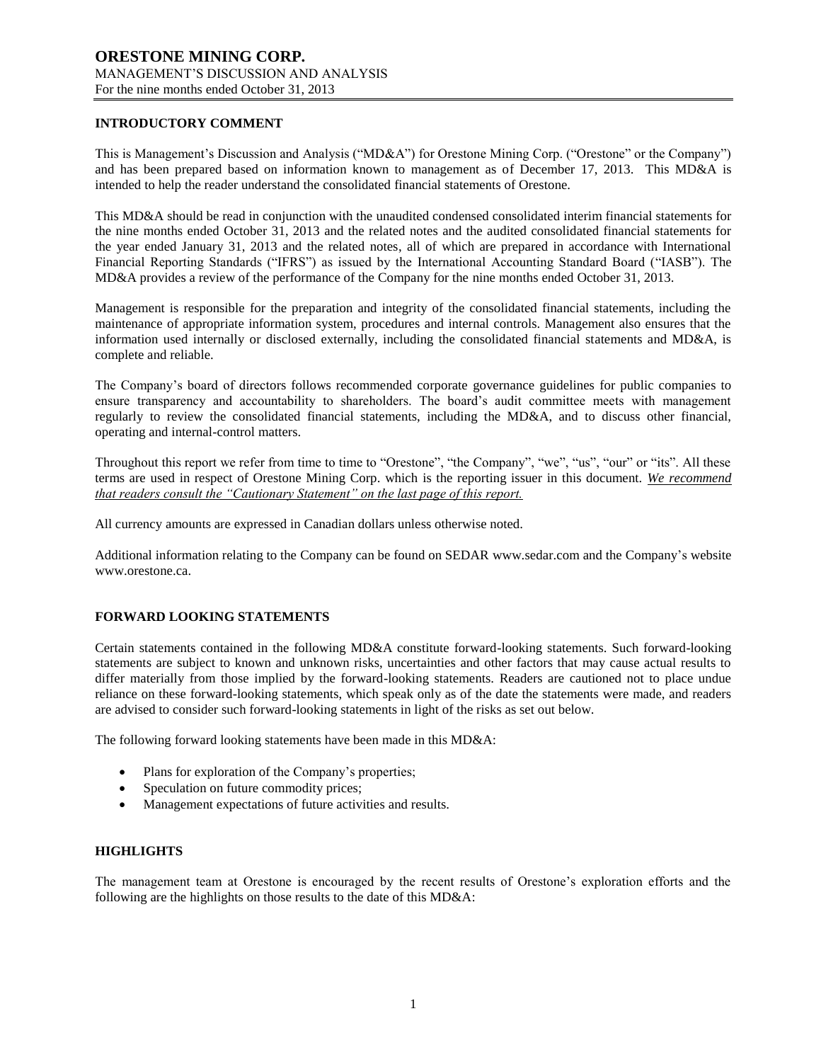### **INTRODUCTORY COMMENT**

This is Management's Discussion and Analysis ("MD&A") for Orestone Mining Corp. ("Orestone" or the Company") and has been prepared based on information known to management as of December 17, 2013. This MD&A is intended to help the reader understand the consolidated financial statements of Orestone.

This MD&A should be read in conjunction with the unaudited condensed consolidated interim financial statements for the nine months ended October 31, 2013 and the related notes and the audited consolidated financial statements for the year ended January 31, 2013 and the related notes, all of which are prepared in accordance with International Financial Reporting Standards ("IFRS") as issued by the International Accounting Standard Board ("IASB"). The MD&A provides a review of the performance of the Company for the nine months ended October 31, 2013.

Management is responsible for the preparation and integrity of the consolidated financial statements, including the maintenance of appropriate information system, procedures and internal controls. Management also ensures that the information used internally or disclosed externally, including the consolidated financial statements and MD&A, is complete and reliable.

The Company's board of directors follows recommended corporate governance guidelines for public companies to ensure transparency and accountability to shareholders. The board's audit committee meets with management regularly to review the consolidated financial statements, including the MD&A, and to discuss other financial, operating and internal-control matters.

Throughout this report we refer from time to time to "Orestone", "the Company", "we", "us", "our" or "its". All these terms are used in respect of Orestone Mining Corp. which is the reporting issuer in this document. *We recommend that readers consult the "Cautionary Statement" on the last page of this report.*

All currency amounts are expressed in Canadian dollars unless otherwise noted.

Additional information relating to the Company can be found on SEDAR www.sedar.com and the Company's website www.orestone.ca.

### **FORWARD LOOKING STATEMENTS**

Certain statements contained in the following MD&A constitute forward-looking statements. Such forward-looking statements are subject to known and unknown risks, uncertainties and other factors that may cause actual results to differ materially from those implied by the forward-looking statements. Readers are cautioned not to place undue reliance on these forward-looking statements, which speak only as of the date the statements were made, and readers are advised to consider such forward-looking statements in light of the risks as set out below.

The following forward looking statements have been made in this MD&A:

- Plans for exploration of the Company's properties;
- Speculation on future commodity prices;
- Management expectations of future activities and results.

### **HIGHLIGHTS**

The management team at Orestone is encouraged by the recent results of Orestone's exploration efforts and the following are the highlights on those results to the date of this MD&A: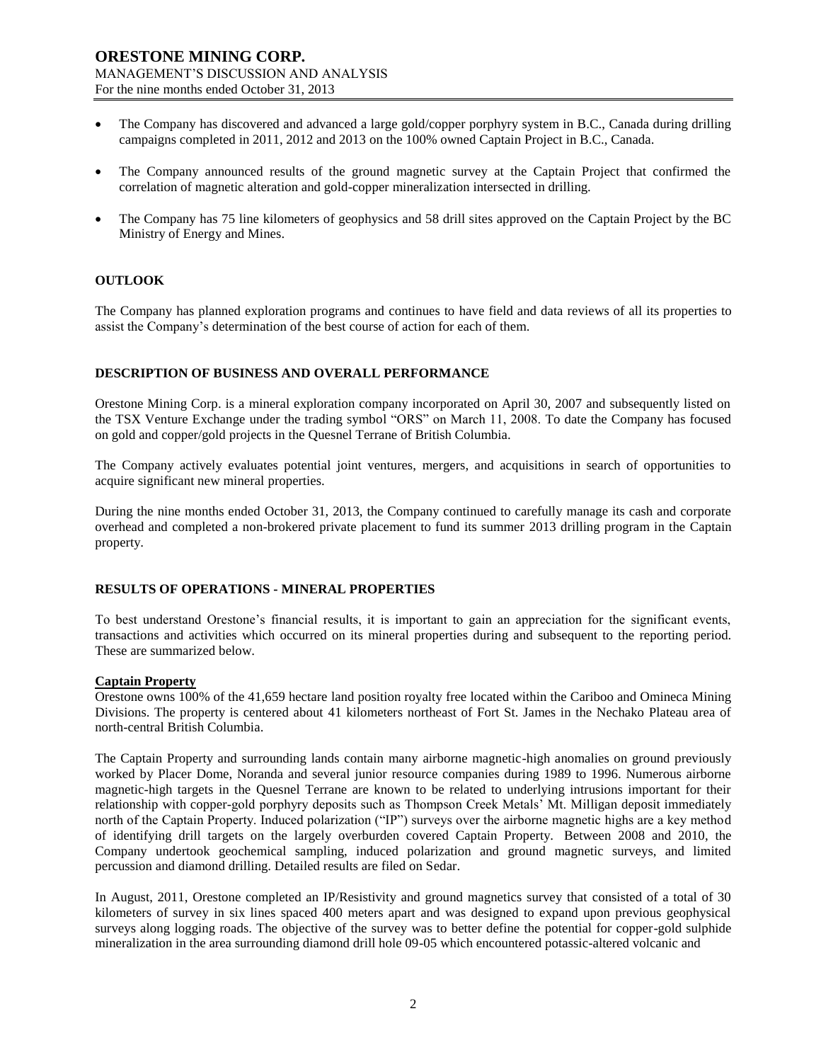- The Company has discovered and advanced a large gold/copper porphyry system in B.C., Canada during drilling campaigns completed in 2011, 2012 and 2013 on the 100% owned Captain Project in B.C., Canada.
- The Company announced results of the ground magnetic survey at the Captain Project that confirmed the correlation of magnetic alteration and gold-copper mineralization intersected in drilling.
- The Company has 75 line kilometers of geophysics and 58 drill sites approved on the Captain Project by the BC Ministry of Energy and Mines.

### **OUTLOOK**

The Company has planned exploration programs and continues to have field and data reviews of all its properties to assist the Company's determination of the best course of action for each of them.

### **DESCRIPTION OF BUSINESS AND OVERALL PERFORMANCE**

Orestone Mining Corp. is a mineral exploration company incorporated on April 30, 2007 and subsequently listed on the TSX Venture Exchange under the trading symbol "ORS" on March 11, 2008. To date the Company has focused on gold and copper/gold projects in the Quesnel Terrane of British Columbia.

The Company actively evaluates potential joint ventures, mergers, and acquisitions in search of opportunities to acquire significant new mineral properties.

During the nine months ended October 31, 2013, the Company continued to carefully manage its cash and corporate overhead and completed a non-brokered private placement to fund its summer 2013 drilling program in the Captain property.

#### **RESULTS OF OPERATIONS - MINERAL PROPERTIES**

To best understand Orestone's financial results, it is important to gain an appreciation for the significant events, transactions and activities which occurred on its mineral properties during and subsequent to the reporting period. These are summarized below.

#### **Captain Property**

Orestone owns 100% of the 41,659 hectare land position royalty free located within the Cariboo and Omineca Mining Divisions. The property is centered about 41 kilometers northeast of Fort St. James in the Nechako Plateau area of north-central British Columbia.

The Captain Property and surrounding lands contain many airborne magnetic-high anomalies on ground previously worked by Placer Dome, Noranda and several junior resource companies during 1989 to 1996. Numerous airborne magnetic-high targets in the Quesnel Terrane are known to be related to underlying intrusions important for their relationship with copper-gold porphyry deposits such as Thompson Creek Metals' Mt. Milligan deposit immediately north of the Captain Property. Induced polarization ("IP") surveys over the airborne magnetic highs are a key method of identifying drill targets on the largely overburden covered Captain Property. Between 2008 and 2010, the Company undertook geochemical sampling, induced polarization and ground magnetic surveys, and limited percussion and diamond drilling. Detailed results are filed on Sedar.

In August, 2011, Orestone completed an IP/Resistivity and ground magnetics survey that consisted of a total of 30 kilometers of survey in six lines spaced 400 meters apart and was designed to expand upon previous geophysical surveys along logging roads. The objective of the survey was to better define the potential for copper-gold sulphide mineralization in the area surrounding diamond drill hole 09-05 which encountered potassic-altered volcanic and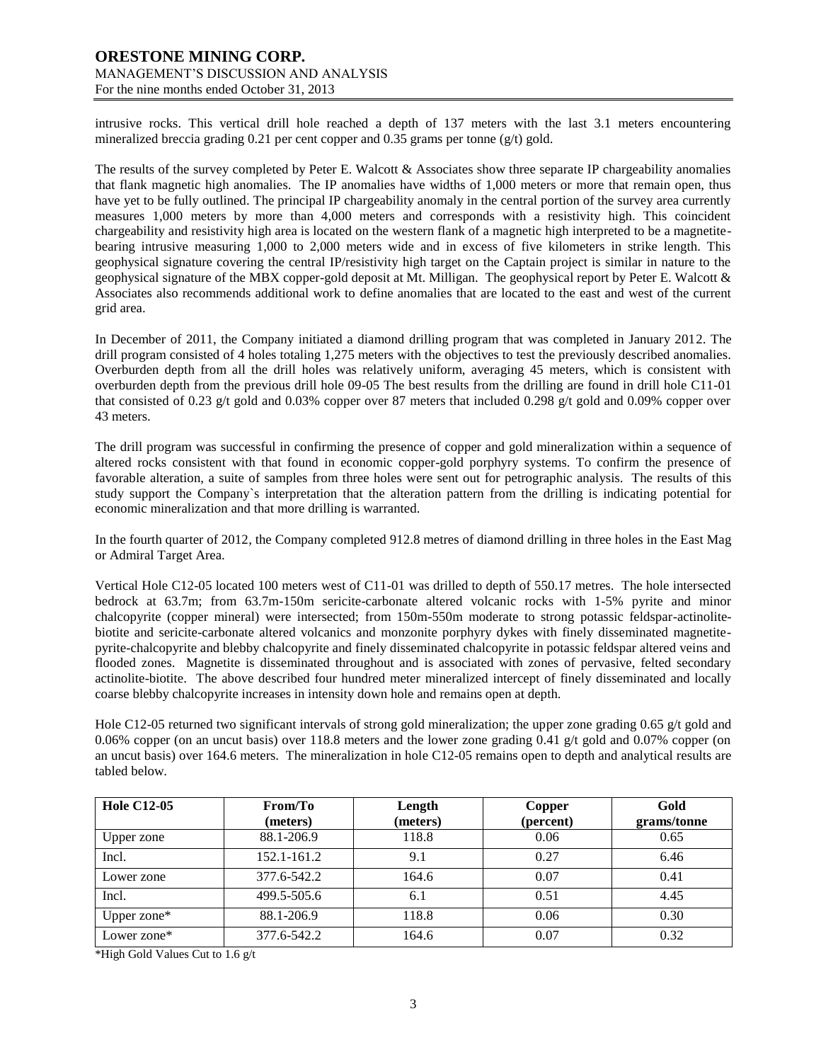## **ORESTONE MINING CORP.** MANAGEMENT'S DISCUSSION AND ANALYSIS

For the nine months ended October 31, 2013

intrusive rocks. This vertical drill hole reached a depth of 137 meters with the last 3.1 meters encountering mineralized breccia grading 0.21 per cent copper and 0.35 grams per tonne ( $g/t$ ) gold.

The results of the survey completed by Peter E. Walcott & Associates show three separate IP chargeability anomalies that flank magnetic high anomalies. The IP anomalies have widths of 1,000 meters or more that remain open, thus have yet to be fully outlined. The principal IP chargeability anomaly in the central portion of the survey area currently measures 1,000 meters by more than 4,000 meters and corresponds with a resistivity high. This coincident chargeability and resistivity high area is located on the western flank of a magnetic high interpreted to be a magnetitebearing intrusive measuring 1,000 to 2,000 meters wide and in excess of five kilometers in strike length. This geophysical signature covering the central IP/resistivity high target on the Captain project is similar in nature to the geophysical signature of the MBX copper-gold deposit at Mt. Milligan. The geophysical report by Peter E. Walcott & Associates also recommends additional work to define anomalies that are located to the east and west of the current grid area.

In December of 2011, the Company initiated a diamond drilling program that was completed in January 2012. The drill program consisted of 4 holes totaling 1,275 meters with the objectives to test the previously described anomalies. Overburden depth from all the drill holes was relatively uniform, averaging 45 meters, which is consistent with overburden depth from the previous drill hole 09-05 The best results from the drilling are found in drill hole C11-01 that consisted of 0.23 g/t gold and 0.03% copper over 87 meters that included 0.298 g/t gold and 0.09% copper over 43 meters.

The drill program was successful in confirming the presence of copper and gold mineralization within a sequence of altered rocks consistent with that found in economic copper-gold porphyry systems. To confirm the presence of favorable alteration, a suite of samples from three holes were sent out for petrographic analysis. The results of this study support the Company`s interpretation that the alteration pattern from the drilling is indicating potential for economic mineralization and that more drilling is warranted.

In the fourth quarter of 2012, the Company completed 912.8 metres of diamond drilling in three holes in the East Mag or Admiral Target Area.

Vertical Hole C12-05 located 100 meters west of C11-01 was drilled to depth of 550.17 metres. The hole intersected bedrock at 63.7m; from 63.7m-150m sericite-carbonate altered volcanic rocks with 1-5% pyrite and minor chalcopyrite (copper mineral) were intersected; from 150m-550m moderate to strong potassic feldspar-actinolitebiotite and sericite-carbonate altered volcanics and monzonite porphyry dykes with finely disseminated magnetitepyrite-chalcopyrite and blebby chalcopyrite and finely disseminated chalcopyrite in potassic feldspar altered veins and flooded zones. Magnetite is disseminated throughout and is associated with zones of pervasive, felted secondary actinolite-biotite. The above described four hundred meter mineralized intercept of finely disseminated and locally coarse blebby chalcopyrite increases in intensity down hole and remains open at depth.

Hole C12-05 returned two significant intervals of strong gold mineralization; the upper zone grading 0.65 g/t gold and 0.06% copper (on an uncut basis) over 118.8 meters and the lower zone grading 0.41 g/t gold and 0.07% copper (on an uncut basis) over 164.6 meters. The mineralization in hole C12-05 remains open to depth and analytical results are tabled below.

| <b>Hole C12-05</b> | From/To     | Length   | Copper    | Gold        |
|--------------------|-------------|----------|-----------|-------------|
|                    | (meters)    | (meters) | (percent) | grams/tonne |
| <b>Upper</b> zone  | 88.1-206.9  | 118.8    | 0.06      | 0.65        |
| Incl.              | 152.1-161.2 | 9.1      | 0.27      | 6.46        |
| Lower zone         | 377.6-542.2 | 164.6    | 0.07      | 0.41        |
| Incl.              | 499.5-505.6 | 6.1      | 0.51      | 4.45        |
| Upper zone*        | 88.1-206.9  | 118.8    | 0.06      | 0.30        |
| Lower zone*        | 377.6-542.2 | 164.6    | 0.07      | 0.32        |

\*High Gold Values Cut to 1.6 g/t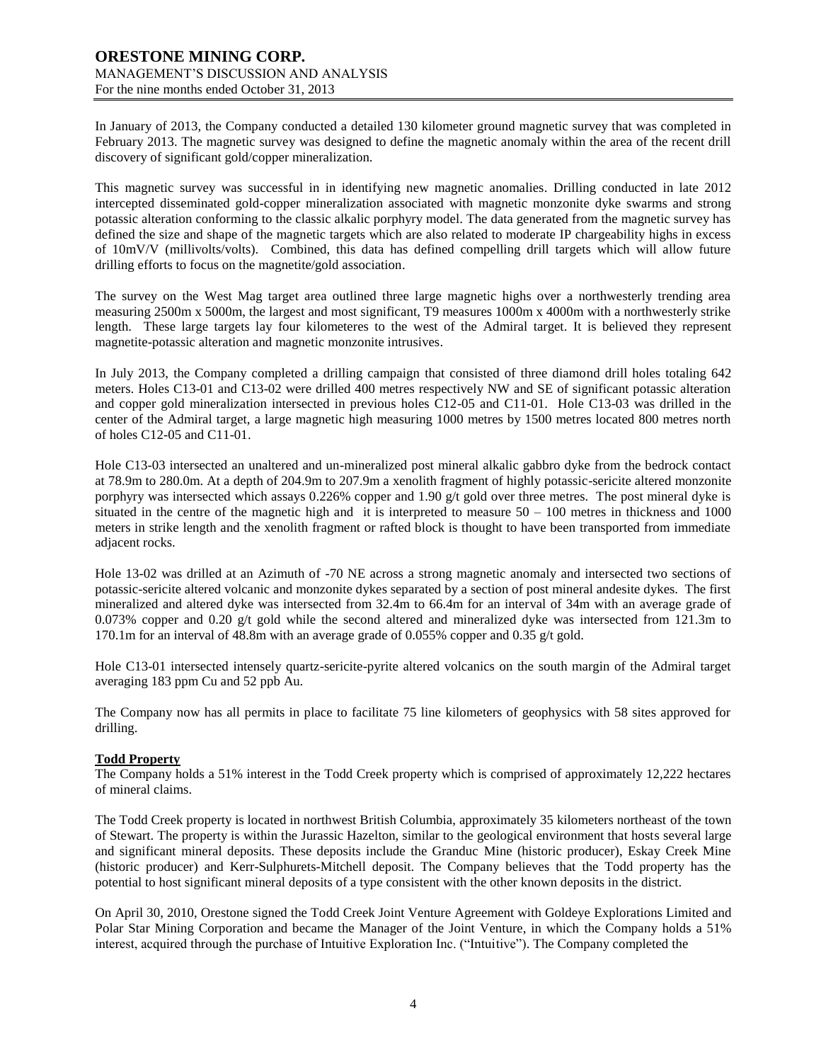In January of 2013, the Company conducted a detailed 130 kilometer ground magnetic survey that was completed in February 2013. The magnetic survey was designed to define the magnetic anomaly within the area of the recent drill discovery of significant gold/copper mineralization.

This magnetic survey was successful in in identifying new magnetic anomalies. Drilling conducted in late 2012 intercepted disseminated gold-copper mineralization associated with magnetic monzonite dyke swarms and strong potassic alteration conforming to the classic alkalic porphyry model. The data generated from the magnetic survey has defined the size and shape of the magnetic targets which are also related to moderate IP chargeability highs in excess of 10mV/V (millivolts/volts). Combined, this data has defined compelling drill targets which will allow future drilling efforts to focus on the magnetite/gold association.

The survey on the West Mag target area outlined three large magnetic highs over a northwesterly trending area measuring 2500m x 5000m, the largest and most significant, T9 measures 1000m x 4000m with a northwesterly strike length. These large targets lay four kilometeres to the west of the Admiral target. It is believed they represent magnetite-potassic alteration and magnetic monzonite intrusives.

In July 2013, the Company completed a drilling campaign that consisted of three diamond drill holes totaling 642 meters. Holes C13-01 and C13-02 were drilled 400 metres respectively NW and SE of significant potassic alteration and copper gold mineralization intersected in previous holes C12-05 and C11-01. Hole C13-03 was drilled in the center of the Admiral target, a large magnetic high measuring 1000 metres by 1500 metres located 800 metres north of holes C12-05 and C11-01.

Hole C13-03 intersected an unaltered and un-mineralized post mineral alkalic gabbro dyke from the bedrock contact at 78.9m to 280.0m. At a depth of 204.9m to 207.9m a xenolith fragment of highly potassic-sericite altered monzonite porphyry was intersected which assays 0.226% copper and 1.90 g/t gold over three metres. The post mineral dyke is situated in the centre of the magnetic high and it is interpreted to measure  $50 - 100$  metres in thickness and 1000 meters in strike length and the xenolith fragment or rafted block is thought to have been transported from immediate adjacent rocks.

Hole 13-02 was drilled at an Azimuth of -70 NE across a strong magnetic anomaly and intersected two sections of potassic-sericite altered volcanic and monzonite dykes separated by a section of post mineral andesite dykes. The first mineralized and altered dyke was intersected from 32.4m to 66.4m for an interval of 34m with an average grade of 0.073% copper and 0.20 g/t gold while the second altered and mineralized dyke was intersected from 121.3m to 170.1m for an interval of 48.8m with an average grade of 0.055% copper and 0.35 g/t gold.

Hole C13-01 intersected intensely quartz-sericite-pyrite altered volcanics on the south margin of the Admiral target averaging 183 ppm Cu and 52 ppb Au.

The Company now has all permits in place to facilitate 75 line kilometers of geophysics with 58 sites approved for drilling.

### **Todd Property**

The Company holds a 51% interest in the Todd Creek property which is comprised of approximately 12,222 hectares of mineral claims.

The Todd Creek property is located in northwest British Columbia, approximately 35 kilometers northeast of the town of Stewart. The property is within the Jurassic Hazelton, similar to the geological environment that hosts several large and significant mineral deposits. These deposits include the Granduc Mine (historic producer), Eskay Creek Mine (historic producer) and Kerr-Sulphurets-Mitchell deposit. The Company believes that the Todd property has the potential to host significant mineral deposits of a type consistent with the other known deposits in the district.

On April 30, 2010, Orestone signed the Todd Creek Joint Venture Agreement with Goldeye Explorations Limited and Polar Star Mining Corporation and became the Manager of the Joint Venture, in which the Company holds a 51% interest, acquired through the purchase of Intuitive Exploration Inc. ("Intuitive"). The Company completed the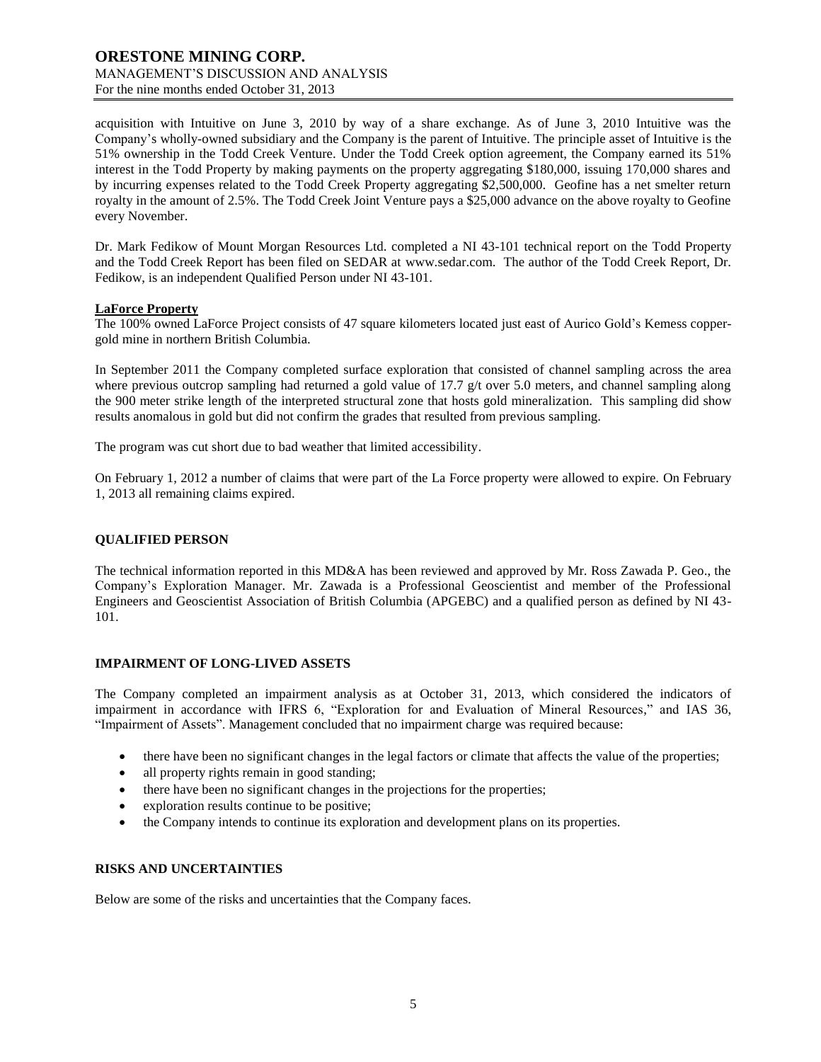### **ORESTONE MINING CORP.** MANAGEMENT'S DISCUSSION AND ANALYSIS For the nine months ended October 31, 2013

acquisition with Intuitive on June 3, 2010 by way of a share exchange. As of June 3, 2010 Intuitive was the Company's wholly-owned subsidiary and the Company is the parent of Intuitive. The principle asset of Intuitive is the 51% ownership in the Todd Creek Venture. Under the Todd Creek option agreement, the Company earned its 51% interest in the Todd Property by making payments on the property aggregating \$180,000, issuing 170,000 shares and by incurring expenses related to the Todd Creek Property aggregating \$2,500,000. Geofine has a net smelter return royalty in the amount of 2.5%. The Todd Creek Joint Venture pays a \$25,000 advance on the above royalty to Geofine every November.

Dr. Mark Fedikow of Mount Morgan Resources Ltd. completed a NI 43-101 technical report on the Todd Property and the Todd Creek Report has been filed on SEDAR at [www.sedar.com.](http://www.sedar.com/) The author of the Todd Creek Report, Dr. Fedikow, is an independent Qualified Person under NI 43-101.

### **LaForce Property**

The 100% owned LaForce Project consists of 47 square kilometers located just east of Aurico Gold's Kemess coppergold mine in northern British Columbia.

In September 2011 the Company completed surface exploration that consisted of channel sampling across the area where previous outcrop sampling had returned a gold value of 17.7 g/t over 5.0 meters, and channel sampling along the 900 meter strike length of the interpreted structural zone that hosts gold mineralization. This sampling did show results anomalous in gold but did not confirm the grades that resulted from previous sampling.

The program was cut short due to bad weather that limited accessibility.

On February 1, 2012 a number of claims that were part of the La Force property were allowed to expire. On February 1, 2013 all remaining claims expired.

### **QUALIFIED PERSON**

The technical information reported in this MD&A has been reviewed and approved by Mr. Ross Zawada P. Geo., the Company's Exploration Manager. Mr. Zawada is a Professional Geoscientist and member of the Professional Engineers and Geoscientist Association of British Columbia (APGEBC) and a qualified person as defined by NI 43- 101.

### **IMPAIRMENT OF LONG-LIVED ASSETS**

The Company completed an impairment analysis as at October 31, 2013, which considered the indicators of impairment in accordance with IFRS 6, "Exploration for and Evaluation of Mineral Resources," and IAS 36, "Impairment of Assets". Management concluded that no impairment charge was required because:

- there have been no significant changes in the legal factors or climate that affects the value of the properties;
- all property rights remain in good standing;
- there have been no significant changes in the projections for the properties;
- exploration results continue to be positive;
- the Company intends to continue its exploration and development plans on its properties.

### **RISKS AND UNCERTAINTIES**

Below are some of the risks and uncertainties that the Company faces.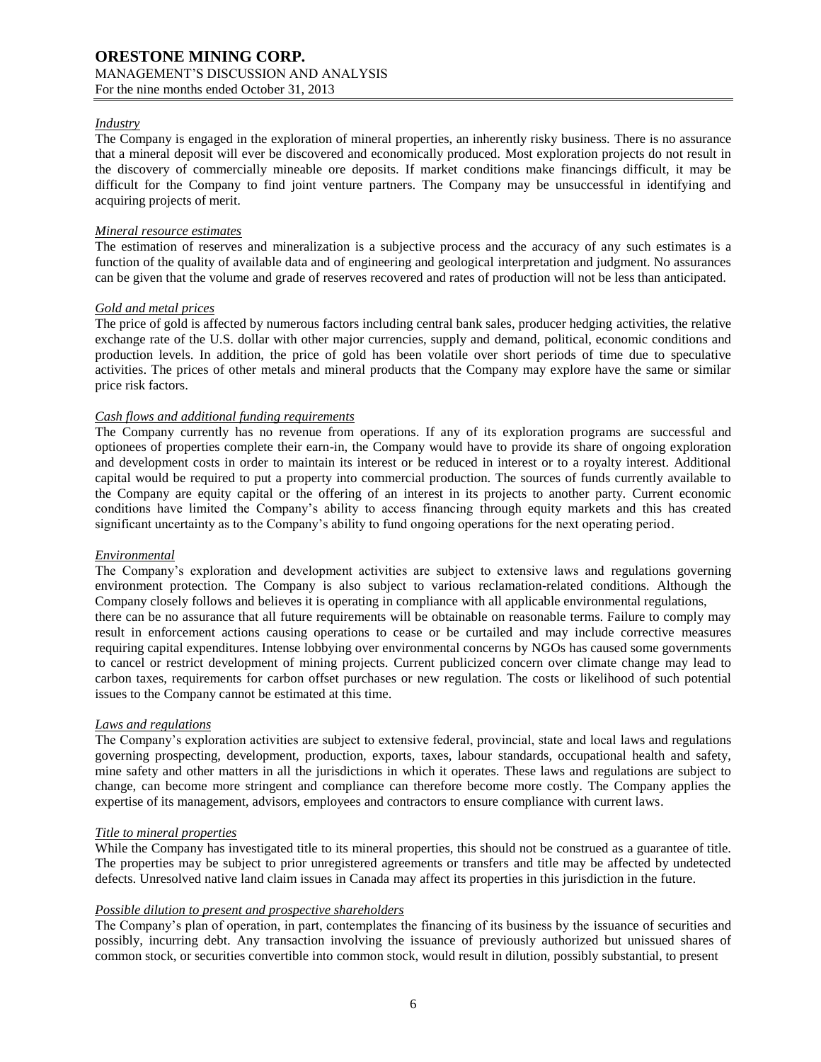### *Industry*

The Company is engaged in the exploration of mineral properties, an inherently risky business. There is no assurance that a mineral deposit will ever be discovered and economically produced. Most exploration projects do not result in the discovery of commercially mineable ore deposits. If market conditions make financings difficult, it may be difficult for the Company to find joint venture partners. The Company may be unsuccessful in identifying and acquiring projects of merit.

### *Mineral resource estimates*

The estimation of reserves and mineralization is a subjective process and the accuracy of any such estimates is a function of the quality of available data and of engineering and geological interpretation and judgment. No assurances can be given that the volume and grade of reserves recovered and rates of production will not be less than anticipated.

### *Gold and metal prices*

The price of gold is affected by numerous factors including central bank sales, producer hedging activities, the relative exchange rate of the U.S. dollar with other major currencies, supply and demand, political, economic conditions and production levels. In addition, the price of gold has been volatile over short periods of time due to speculative activities. The prices of other metals and mineral products that the Company may explore have the same or similar price risk factors.

### *Cash flows and additional funding requirements*

The Company currently has no revenue from operations. If any of its exploration programs are successful and optionees of properties complete their earn-in, the Company would have to provide its share of ongoing exploration and development costs in order to maintain its interest or be reduced in interest or to a royalty interest. Additional capital would be required to put a property into commercial production. The sources of funds currently available to the Company are equity capital or the offering of an interest in its projects to another party. Current economic conditions have limited the Company's ability to access financing through equity markets and this has created significant uncertainty as to the Company's ability to fund ongoing operations for the next operating period.

#### *Environmental*

The Company's exploration and development activities are subject to extensive laws and regulations governing environment protection. The Company is also subject to various reclamation-related conditions. Although the Company closely follows and believes it is operating in compliance with all applicable environmental regulations, there can be no assurance that all future requirements will be obtainable on reasonable terms. Failure to comply may result in enforcement actions causing operations to cease or be curtailed and may include corrective measures requiring capital expenditures. Intense lobbying over environmental concerns by NGOs has caused some governments to cancel or restrict development of mining projects. Current publicized concern over climate change may lead to carbon taxes, requirements for carbon offset purchases or new regulation. The costs or likelihood of such potential issues to the Company cannot be estimated at this time.

#### *Laws and regulations*

The Company's exploration activities are subject to extensive federal, provincial, state and local laws and regulations governing prospecting, development, production, exports, taxes, labour standards, occupational health and safety, mine safety and other matters in all the jurisdictions in which it operates. These laws and regulations are subject to change, can become more stringent and compliance can therefore become more costly. The Company applies the expertise of its management, advisors, employees and contractors to ensure compliance with current laws.

### *Title to mineral properties*

While the Company has investigated title to its mineral properties, this should not be construed as a guarantee of title. The properties may be subject to prior unregistered agreements or transfers and title may be affected by undetected defects. Unresolved native land claim issues in Canada may affect its properties in this jurisdiction in the future.

### *Possible dilution to present and prospective shareholders*

The Company's plan of operation, in part, contemplates the financing of its business by the issuance of securities and possibly, incurring debt. Any transaction involving the issuance of previously authorized but unissued shares of common stock, or securities convertible into common stock, would result in dilution, possibly substantial, to present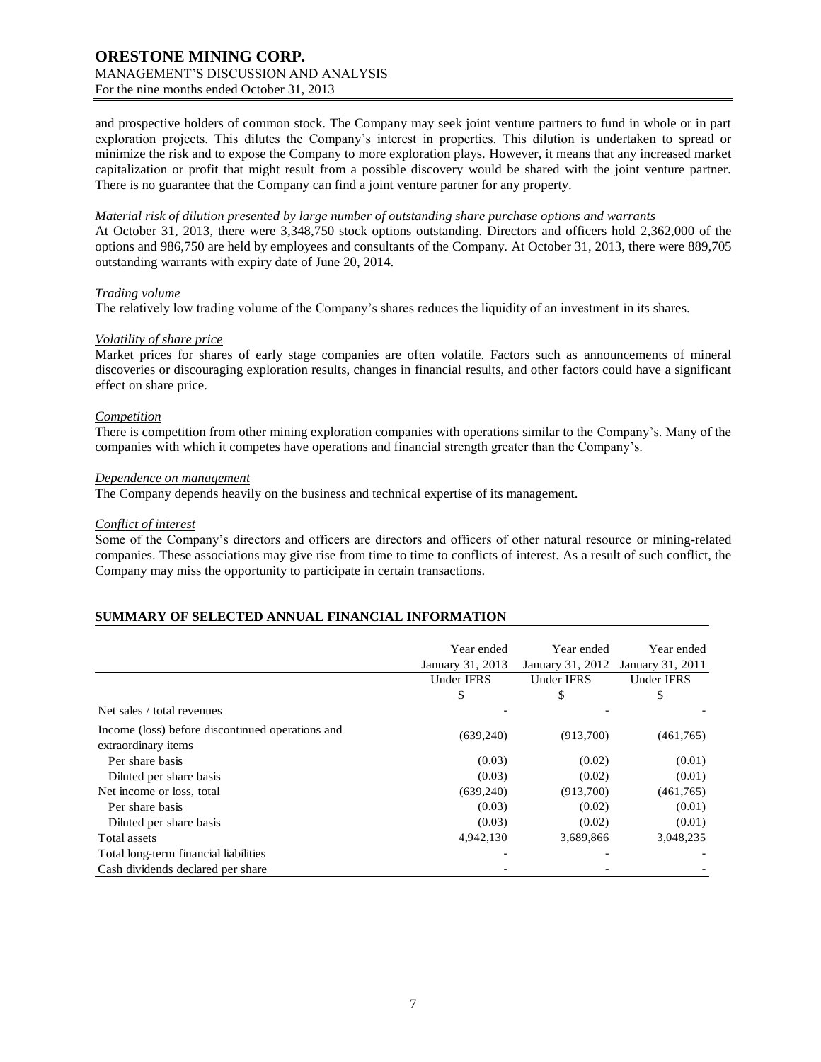### **ORESTONE MINING CORP.** MANAGEMENT'S DISCUSSION AND ANALYSIS For the nine months ended October 31, 2013

and prospective holders of common stock. The Company may seek joint venture partners to fund in whole or in part exploration projects. This dilutes the Company's interest in properties. This dilution is undertaken to spread or minimize the risk and to expose the Company to more exploration plays. However, it means that any increased market capitalization or profit that might result from a possible discovery would be shared with the joint venture partner. There is no guarantee that the Company can find a joint venture partner for any property.

### *Material risk of dilution presented by large number of outstanding share purchase options and warrants*

At October 31, 2013, there were 3,348,750 stock options outstanding. Directors and officers hold 2,362,000 of the options and 986,750 are held by employees and consultants of the Company. At October 31, 2013, there were 889,705 outstanding warrants with expiry date of June 20, 2014.

#### *Trading volume*

The relatively low trading volume of the Company's shares reduces the liquidity of an investment in its shares.

### *Volatility of share price*

Market prices for shares of early stage companies are often volatile. Factors such as announcements of mineral discoveries or discouraging exploration results, changes in financial results, and other factors could have a significant effect on share price.

### *Competition*

There is competition from other mining exploration companies with operations similar to the Company's. Many of the companies with which it competes have operations and financial strength greater than the Company's.

#### *Dependence on management*

The Company depends heavily on the business and technical expertise of its management.

#### *Conflict of interest*

Some of the Company's directors and officers are directors and officers of other natural resource or mining-related companies. These associations may give rise from time to time to conflicts of interest. As a result of such conflict, the Company may miss the opportunity to participate in certain transactions.

### **SUMMARY OF SELECTED ANNUAL FINANCIAL INFORMATION**

|                                                                         | Year ended<br>January 31, 2013 | Year ended<br>January 31, 2012 | Year ended<br>January 31, 2011 |
|-------------------------------------------------------------------------|--------------------------------|--------------------------------|--------------------------------|
|                                                                         | Under IFRS                     | Under IFRS                     | <b>Under IFRS</b>              |
|                                                                         | \$                             | \$                             | \$                             |
| Net sales / total revenues                                              |                                |                                |                                |
| Income (loss) before discontinued operations and<br>extraordinary items | (639,240)                      | (913,700)                      | (461,765)                      |
| Per share basis                                                         | (0.03)                         | (0.02)                         | (0.01)                         |
| Diluted per share basis                                                 | (0.03)                         | (0.02)                         | (0.01)                         |
| Net income or loss, total                                               | (639,240)                      | (913,700)                      | (461,765)                      |
| Per share basis                                                         | (0.03)                         | (0.02)                         | (0.01)                         |
| Diluted per share basis                                                 | (0.03)                         | (0.02)                         | (0.01)                         |
| Total assets                                                            | 4,942,130                      | 3,689,866                      | 3,048,235                      |
| Total long-term financial liabilities                                   |                                |                                |                                |
| Cash dividends declared per share                                       |                                |                                |                                |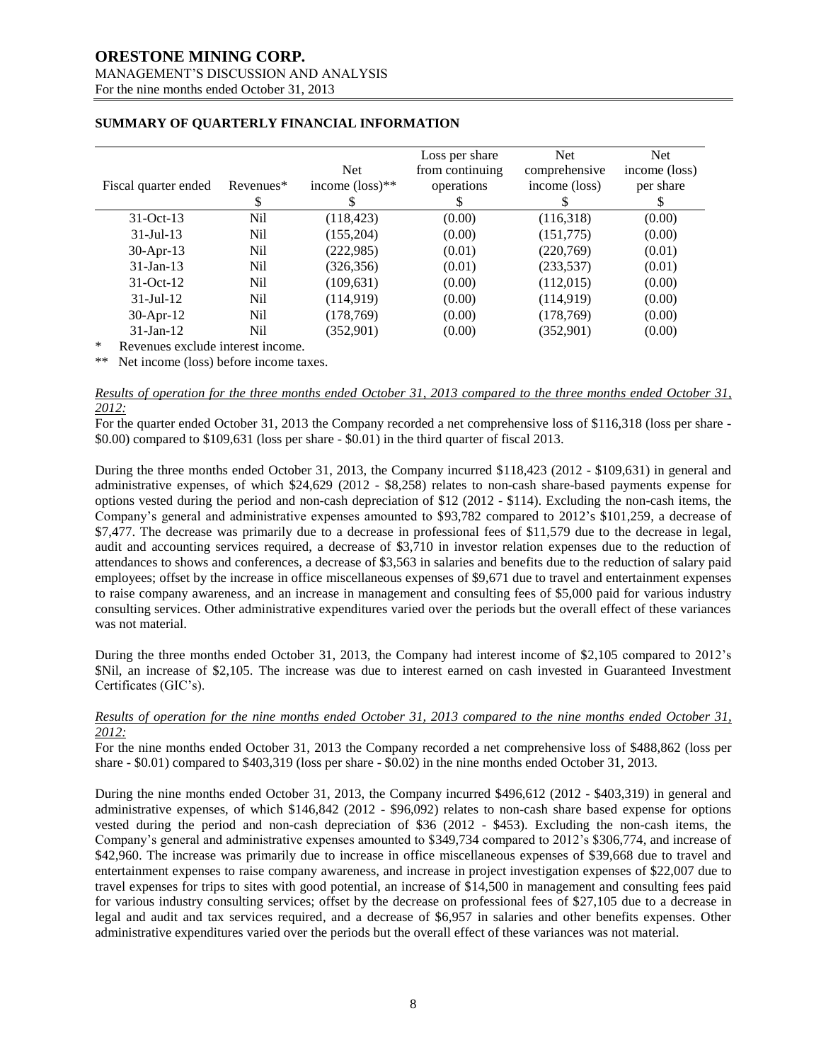# **ORESTONE MINING CORP.**

# MANAGEMENT'S DISCUSSION AND ANALYSIS

For the nine months ended October 31, 2013

| Fiscal quarter ended         | Revenues <sup>*</sup><br>\$                                                          | <b>Net</b><br>income $(\text{loss})^{**}$ | Loss per share<br>from continuing<br>operations<br>S | <b>Net</b><br>comprehensive<br>income (loss) | <b>Net</b><br>income (loss)<br>per share |
|------------------------------|--------------------------------------------------------------------------------------|-------------------------------------------|------------------------------------------------------|----------------------------------------------|------------------------------------------|
| $31-Oct-13$                  | Nil                                                                                  | (118, 423)                                | (0.00)                                               | (116,318)                                    | (0.00)                                   |
| $31 -$ Jul $-13$             | Nil                                                                                  | (155, 204)                                | (0.00)                                               | (151, 775)                                   | (0.00)                                   |
| 30-Apr-13                    | Nil                                                                                  | (222, 985)                                | (0.01)                                               | (220,769)                                    | (0.01)                                   |
| $31$ -Jan-13                 | Nil                                                                                  | (326, 356)                                | (0.01)                                               | (233, 537)                                   | (0.01)                                   |
| $31-Oct-12$                  | Nil                                                                                  | (109, 631)                                | (0.00)                                               | (112,015)                                    | (0.00)                                   |
| $31$ -Jul-12                 | Nil                                                                                  | (114, 919)                                | (0.00)                                               | (114, 919)                                   | (0.00)                                   |
| $30$ -Apr-12                 | Nil                                                                                  | (178, 769)                                | (0.00)                                               | (178, 769)                                   | (0.00)                                   |
| $31$ -Jan-12<br>$\mathbf{A}$ | Nil<br>$\mathbf{1}$ $\mathbf{1}$ $\mathbf{1}$ $\mathbf{1}$ $\mathbf{1}$ $\mathbf{1}$ | (352,901)                                 | (0.00)                                               | (352,901)                                    | (0.00)                                   |

### **SUMMARY OF QUARTERLY FINANCIAL INFORMATION**

Revenues exclude interest income.

\*\* Net income (loss) before income taxes.

#### *Results of operation for the three months ended October 31, 2013 compared to the three months ended October 31, 2012:*

For the quarter ended October 31, 2013 the Company recorded a net comprehensive loss of \$116,318 (loss per share - \$0.00) compared to \$109,631 (loss per share - \$0.01) in the third quarter of fiscal 2013.

During the three months ended October 31, 2013, the Company incurred \$118,423 (2012 - \$109,631) in general and administrative expenses, of which \$24,629 (2012 - \$8,258) relates to non-cash share-based payments expense for options vested during the period and non-cash depreciation of \$12 (2012 - \$114). Excluding the non-cash items, the Company's general and administrative expenses amounted to \$93,782 compared to 2012's \$101,259, a decrease of \$7,477. The decrease was primarily due to a decrease in professional fees of \$11,579 due to the decrease in legal, audit and accounting services required, a decrease of \$3,710 in investor relation expenses due to the reduction of attendances to shows and conferences, a decrease of \$3,563 in salaries and benefits due to the reduction of salary paid employees; offset by the increase in office miscellaneous expenses of \$9,671 due to travel and entertainment expenses to raise company awareness, and an increase in management and consulting fees of \$5,000 paid for various industry consulting services. Other administrative expenditures varied over the periods but the overall effect of these variances was not material.

During the three months ended October 31, 2013, the Company had interest income of \$2,105 compared to 2012's \$Nil, an increase of \$2,105. The increase was due to interest earned on cash invested in Guaranteed Investment Certificates (GIC's).

### *Results of operation for the nine months ended October 31, 2013 compared to the nine months ended October 31, 2012:*

For the nine months ended October 31, 2013 the Company recorded a net comprehensive loss of \$488,862 (loss per share - \$0.01) compared to \$403,319 (loss per share - \$0.02) in the nine months ended October 31, 2013.

During the nine months ended October 31, 2013, the Company incurred \$496,612 (2012 - \$403,319) in general and administrative expenses, of which \$146,842 (2012 - \$96,092) relates to non-cash share based expense for options vested during the period and non-cash depreciation of \$36 (2012 - \$453). Excluding the non-cash items, the Company's general and administrative expenses amounted to \$349,734 compared to 2012's \$306,774, and increase of \$42,960. The increase was primarily due to increase in office miscellaneous expenses of \$39,668 due to travel and entertainment expenses to raise company awareness, and increase in project investigation expenses of \$22,007 due to travel expenses for trips to sites with good potential, an increase of \$14,500 in management and consulting fees paid for various industry consulting services; offset by the decrease on professional fees of \$27,105 due to a decrease in legal and audit and tax services required, and a decrease of \$6,957 in salaries and other benefits expenses. Other administrative expenditures varied over the periods but the overall effect of these variances was not material.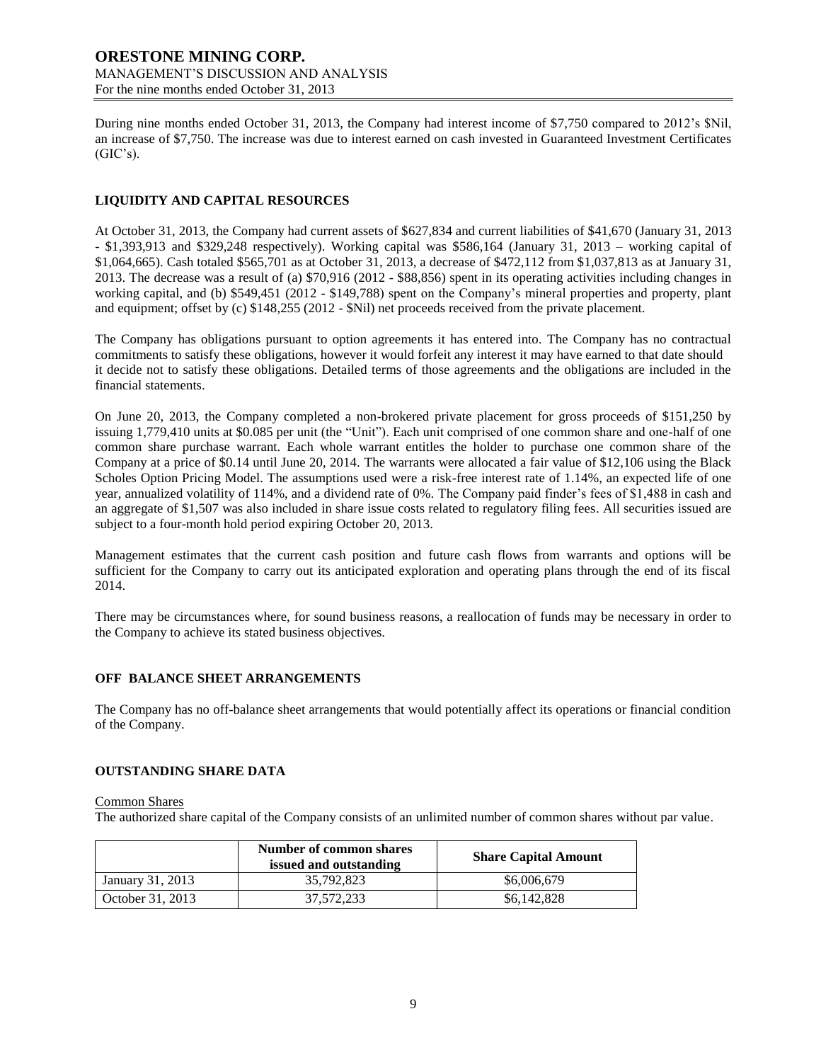During nine months ended October 31, 2013, the Company had interest income of \$7,750 compared to 2012's \$Nil, an increase of \$7,750. The increase was due to interest earned on cash invested in Guaranteed Investment Certificates  $(GIC's)$ .

### **LIQUIDITY AND CAPITAL RESOURCES**

At October 31, 2013, the Company had current assets of \$627,834 and current liabilities of \$41,670 (January 31, 2013 - \$1,393,913 and \$329,248 respectively). Working capital was \$586,164 (January 31, 2013 – working capital of \$1,064,665). Cash totaled \$565,701 as at October 31, 2013, a decrease of \$472,112 from \$1,037,813 as at January 31, 2013. The decrease was a result of (a) \$70,916 (2012 - \$88,856) spent in its operating activities including changes in working capital, and (b) \$549,451 (2012 - \$149,788) spent on the Company's mineral properties and property, plant and equipment; offset by (c) \$148,255 (2012 - \$Nil) net proceeds received from the private placement.

The Company has obligations pursuant to option agreements it has entered into. The Company has no contractual commitments to satisfy these obligations, however it would forfeit any interest it may have earned to that date should it decide not to satisfy these obligations. Detailed terms of those agreements and the obligations are included in the financial statements.

On June 20, 2013, the Company completed a non-brokered private placement for gross proceeds of \$151,250 by issuing 1,779,410 units at \$0.085 per unit (the "Unit"). Each unit comprised of one common share and one-half of one common share purchase warrant. Each whole warrant entitles the holder to purchase one common share of the Company at a price of \$0.14 until June 20, 2014. The warrants were allocated a fair value of \$12,106 using the Black Scholes Option Pricing Model. The assumptions used were a risk-free interest rate of 1.14%, an expected life of one year, annualized volatility of 114%, and a dividend rate of 0%. The Company paid finder's fees of \$1,488 in cash and an aggregate of \$1,507 was also included in share issue costs related to regulatory filing fees. All securities issued are subject to a four-month hold period expiring October 20, 2013.

Management estimates that the current cash position and future cash flows from warrants and options will be sufficient for the Company to carry out its anticipated exploration and operating plans through the end of its fiscal 2014.

There may be circumstances where, for sound business reasons, a reallocation of funds may be necessary in order to the Company to achieve its stated business objectives.

### **OFF BALANCE SHEET ARRANGEMENTS**

The Company has no off-balance sheet arrangements that would potentially affect its operations or financial condition of the Company.

### **OUTSTANDING SHARE DATA**

Common Shares

The authorized share capital of the Company consists of an unlimited number of common shares without par value.

|                  | Number of common shares<br>issued and outstanding | <b>Share Capital Amount</b> |
|------------------|---------------------------------------------------|-----------------------------|
| January 31, 2013 | 35,792,823                                        | \$6,006,679                 |
| October 31, 2013 | 37.572.233                                        | \$6,142,828                 |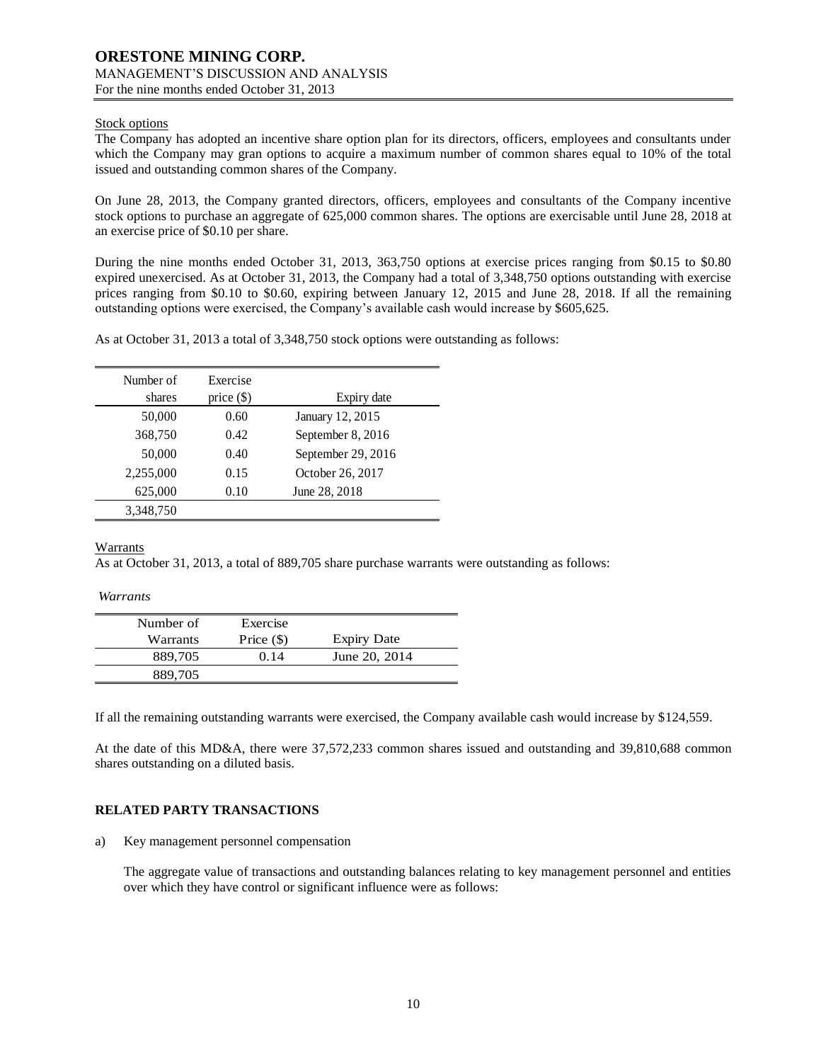### Stock options

The Company has adopted an incentive share option plan for its directors, officers, employees and consultants under which the Company may gran options to acquire a maximum number of common shares equal to 10% of the total issued and outstanding common shares of the Company.

On June 28, 2013, the Company granted directors, officers, employees and consultants of the Company incentive stock options to purchase an aggregate of 625,000 common shares. The options are exercisable until June 28, 2018 at an exercise price of \$0.10 per share.

During the nine months ended October 31, 2013, 363,750 options at exercise prices ranging from \$0.15 to \$0.80 expired unexercised. As at October 31, 2013, the Company had a total of 3,348,750 options outstanding with exercise prices ranging from \$0.10 to \$0.60, expiring between January 12, 2015 and June 28, 2018. If all the remaining outstanding options were exercised, the Company's available cash would increase by \$605,625.

As at October 31, 2013 a total of 3,348,750 stock options were outstanding as follows:

| Number of<br>shares | Exercise<br>price $(\$)$ | Expiry date        |
|---------------------|--------------------------|--------------------|
| 50,000              | 0.60                     | January 12, 2015   |
| 368,750             | 0.42                     | September 8, 2016  |
| 50,000              | 0.40                     | September 29, 2016 |
| 2,255,000           | 0.15                     | October 26, 2017   |
| 625,000             | 0.10                     | June 28, 2018      |
| 3,348,750           |                          |                    |

Warrants

As at October 31, 2013, a total of 889,705 share purchase warrants were outstanding as follows:

*Warrants*

| Number of | Exercise     |                    |
|-----------|--------------|--------------------|
| Warrants  | Price $(\$)$ | <b>Expiry Date</b> |
| 889,705   | 0.14         | June 20, 2014      |
| 889,705   |              |                    |

If all the remaining outstanding warrants were exercised, the Company available cash would increase by \$124,559.

At the date of this MD&A, there were 37,572,233 common shares issued and outstanding and 39,810,688 common shares outstanding on a diluted basis.

### **RELATED PARTY TRANSACTIONS**

a) Key management personnel compensation

The aggregate value of transactions and outstanding balances relating to key management personnel and entities over which they have control or significant influence were as follows: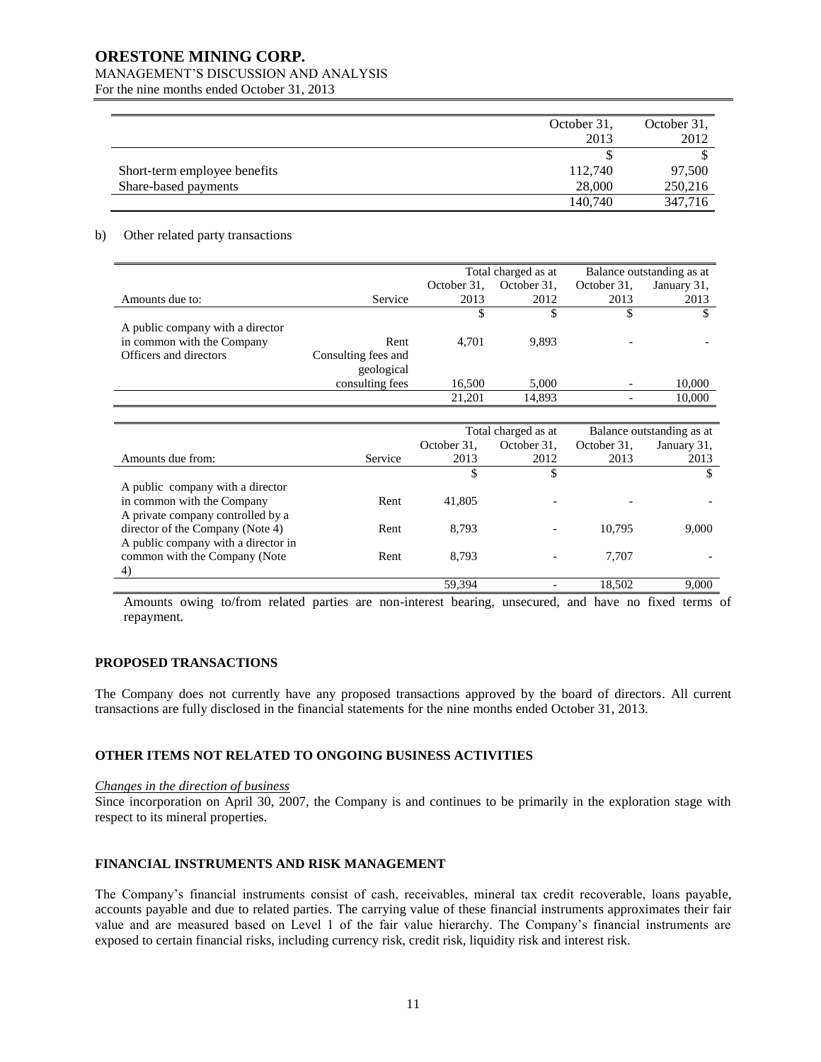### **ORESTONE MINING CORP.**

### MANAGEMENT'S DISCUSSION AND ANALYSIS

For the nine months ended October 31, 2013

|                              | October 31, | October 31, |
|------------------------------|-------------|-------------|
|                              | 2013        | 2012        |
|                              |             |             |
| Short-term employee benefits | 112,740     | 97,500      |
| Share-based payments         | 28,000      | 250,216     |
|                              | 140,740     | 347,716     |

#### b) Other related party transactions

|                                  |                     | Total charged as at |             | Balance outstanding as at |             |
|----------------------------------|---------------------|---------------------|-------------|---------------------------|-------------|
|                                  |                     | October 31,         | October 31. | October 31,               | January 31, |
| Amounts due to:                  | Service             | 2013                | 2012        | 2013                      | 2013        |
|                                  |                     |                     |             |                           | \$          |
| A public company with a director |                     |                     |             |                           |             |
| in common with the Company       | Rent                | 4.701               | 9.893       |                           |             |
| Officers and directors           | Consulting fees and |                     |             |                           |             |
|                                  | geological          |                     |             |                           |             |
|                                  | consulting fees     | 16,500              | 5.000       |                           | 10,000      |
|                                  |                     | 21.201              | 14.893      |                           | 10,000      |
|                                  |                     |                     |             |                           |             |

|                                     |         | Total charged as at |             | Balance outstanding as at |             |
|-------------------------------------|---------|---------------------|-------------|---------------------------|-------------|
|                                     |         | October 31.         | October 31. | October 31,               | January 31, |
| Amounts due from:                   | Service | 2013                | 2012        | 2013                      | 2013        |
|                                     |         |                     |             |                           |             |
| A public company with a director    |         |                     |             |                           |             |
| in common with the Company          | Rent    | 41,805              |             |                           |             |
| A private company controlled by a   |         |                     |             |                           |             |
| director of the Company (Note 4)    | Rent    | 8.793               |             | 10.795                    | 9,000       |
| A public company with a director in |         |                     |             |                           |             |
| common with the Company (Note       | Rent    | 8.793               |             | 7.707                     |             |
| 4)                                  |         |                     |             |                           |             |
|                                     |         | 59,394              |             | 18.502                    | 9.000       |

Amounts owing to/from related parties are non-interest bearing, unsecured, and have no fixed terms of repayment.

### **PROPOSED TRANSACTIONS**

The Company does not currently have any proposed transactions approved by the board of directors. All current transactions are fully disclosed in the financial statements for the nine months ended October 31, 2013.

### **OTHER ITEMS NOT RELATED TO ONGOING BUSINESS ACTIVITIES**

#### *Changes in the direction of business*

Since incorporation on April 30, 2007, the Company is and continues to be primarily in the exploration stage with respect to its mineral properties.

### **FINANCIAL INSTRUMENTS AND RISK MANAGEMENT**

The Company's financial instruments consist of cash, receivables, mineral tax credit recoverable, loans payable, accounts payable and due to related parties. The carrying value of these financial instruments approximates their fair value and are measured based on Level 1 of the fair value hierarchy. The Company's financial instruments are exposed to certain financial risks, including currency risk, credit risk, liquidity risk and interest risk.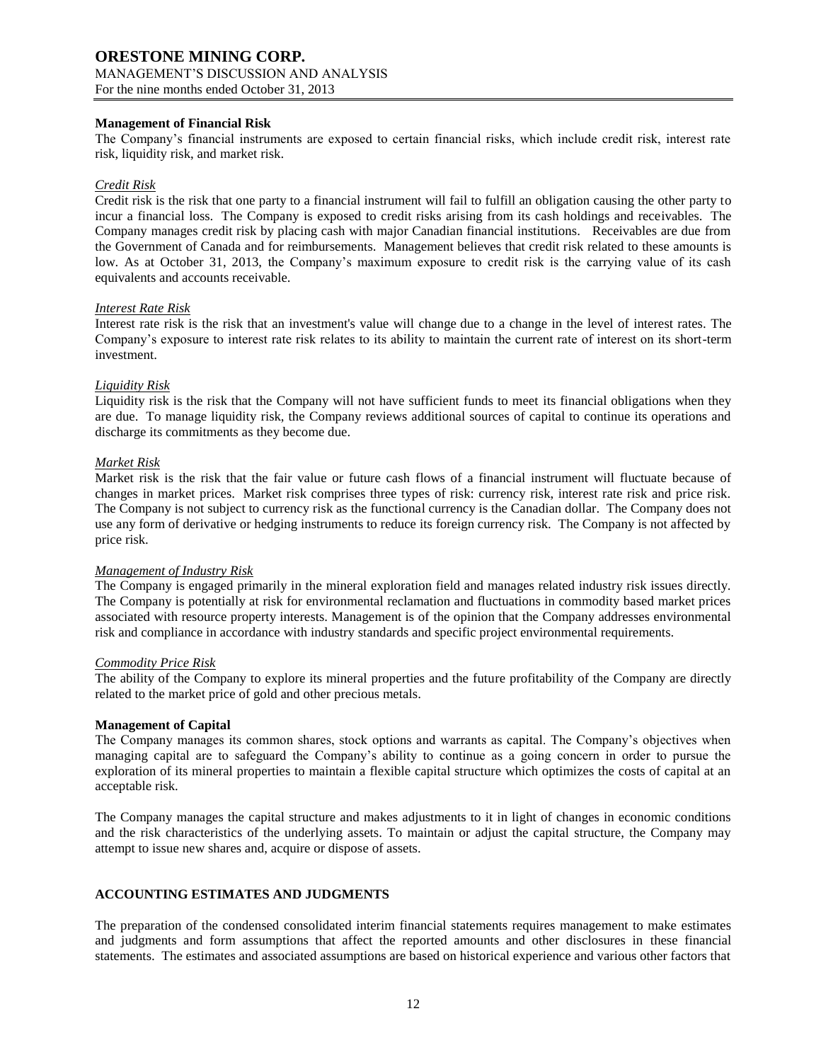### **Management of Financial Risk**

The Company's financial instruments are exposed to certain financial risks, which include credit risk, interest rate risk, liquidity risk, and market risk.

### *Credit Risk*

Credit risk is the risk that one party to a financial instrument will fail to fulfill an obligation causing the other party to incur a financial loss. The Company is exposed to credit risks arising from its cash holdings and receivables. The Company manages credit risk by placing cash with major Canadian financial institutions. Receivables are due from the Government of Canada and for reimbursements. Management believes that credit risk related to these amounts is low. As at October 31, 2013, the Company's maximum exposure to credit risk is the carrying value of its cash equivalents and accounts receivable.

#### *Interest Rate Risk*

Interest rate risk is the risk that an investment's value will change due to a change in the level of interest rates. The Company's exposure to interest rate risk relates to its ability to maintain the current rate of interest on its short-term investment.

### *Liquidity Risk*

Liquidity risk is the risk that the Company will not have sufficient funds to meet its financial obligations when they are due. To manage liquidity risk, the Company reviews additional sources of capital to continue its operations and discharge its commitments as they become due.

### *Market Risk*

Market risk is the risk that the fair value or future cash flows of a financial instrument will fluctuate because of changes in market prices. Market risk comprises three types of risk: currency risk, interest rate risk and price risk. The Company is not subject to currency risk as the functional currency is the Canadian dollar. The Company does not use any form of derivative or hedging instruments to reduce its foreign currency risk. The Company is not affected by price risk.

#### *Management of Industry Risk*

The Company is engaged primarily in the mineral exploration field and manages related industry risk issues directly. The Company is potentially at risk for environmental reclamation and fluctuations in commodity based market prices associated with resource property interests. Management is of the opinion that the Company addresses environmental risk and compliance in accordance with industry standards and specific project environmental requirements.

#### *Commodity Price Risk*

The ability of the Company to explore its mineral properties and the future profitability of the Company are directly related to the market price of gold and other precious metals.

#### **Management of Capital**

The Company manages its common shares, stock options and warrants as capital. The Company's objectives when managing capital are to safeguard the Company's ability to continue as a going concern in order to pursue the exploration of its mineral properties to maintain a flexible capital structure which optimizes the costs of capital at an acceptable risk.

The Company manages the capital structure and makes adjustments to it in light of changes in economic conditions and the risk characteristics of the underlying assets. To maintain or adjust the capital structure, the Company may attempt to issue new shares and, acquire or dispose of assets.

#### **ACCOUNTING ESTIMATES AND JUDGMENTS**

The preparation of the condensed consolidated interim financial statements requires management to make estimates and judgments and form assumptions that affect the reported amounts and other disclosures in these financial statements. The estimates and associated assumptions are based on historical experience and various other factors that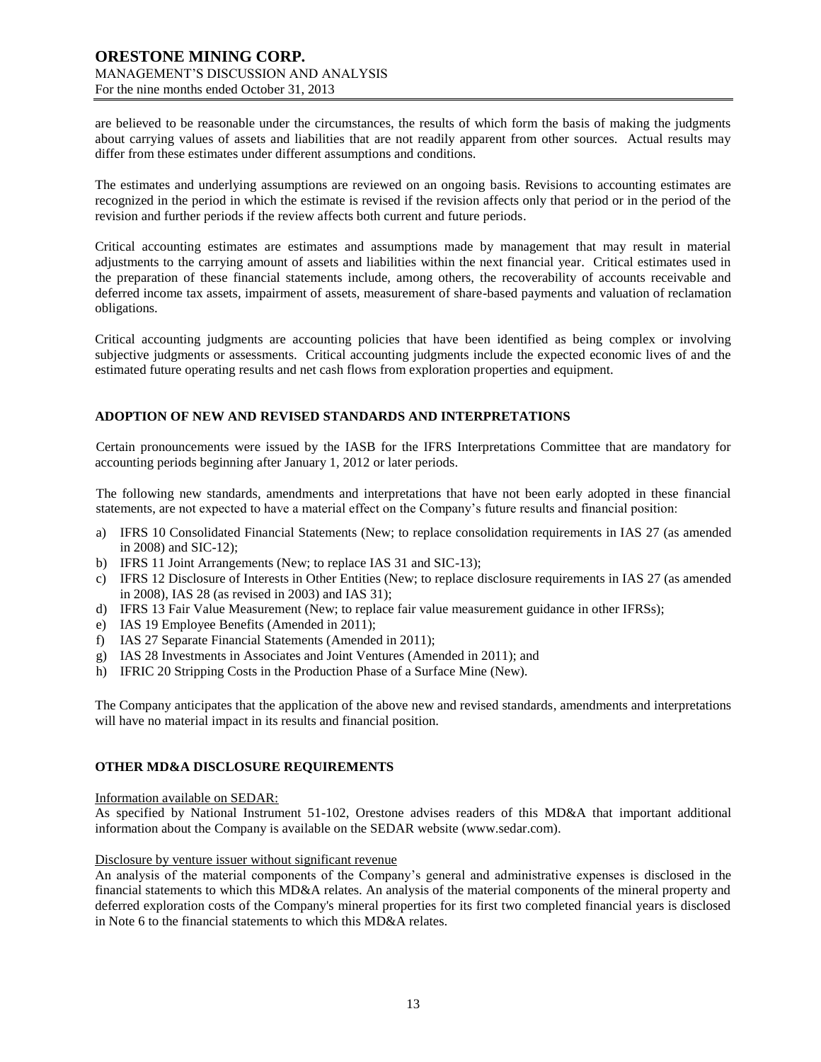are believed to be reasonable under the circumstances, the results of which form the basis of making the judgments about carrying values of assets and liabilities that are not readily apparent from other sources. Actual results may differ from these estimates under different assumptions and conditions.

The estimates and underlying assumptions are reviewed on an ongoing basis. Revisions to accounting estimates are recognized in the period in which the estimate is revised if the revision affects only that period or in the period of the revision and further periods if the review affects both current and future periods.

Critical accounting estimates are estimates and assumptions made by management that may result in material adjustments to the carrying amount of assets and liabilities within the next financial year. Critical estimates used in the preparation of these financial statements include, among others, the recoverability of accounts receivable and deferred income tax assets, impairment of assets, measurement of share-based payments and valuation of reclamation obligations.

Critical accounting judgments are accounting policies that have been identified as being complex or involving subjective judgments or assessments. Critical accounting judgments include the expected economic lives of and the estimated future operating results and net cash flows from exploration properties and equipment.

### **ADOPTION OF NEW AND REVISED STANDARDS AND INTERPRETATIONS**

Certain pronouncements were issued by the IASB for the IFRS Interpretations Committee that are mandatory for accounting periods beginning after January 1, 2012 or later periods.

The following new standards, amendments and interpretations that have not been early adopted in these financial statements, are not expected to have a material effect on the Company's future results and financial position:

- a) IFRS 10 Consolidated Financial Statements (New; to replace consolidation requirements in IAS 27 (as amended in 2008) and SIC-12);
- b) IFRS 11 Joint Arrangements (New; to replace IAS 31 and SIC-13);
- c) IFRS 12 Disclosure of Interests in Other Entities (New; to replace disclosure requirements in IAS 27 (as amended in 2008), IAS 28 (as revised in 2003) and IAS 31);
- d) IFRS 13 Fair Value Measurement (New; to replace fair value measurement guidance in other IFRSs);
- e) IAS 19 Employee Benefits (Amended in 2011);
- f) IAS 27 Separate Financial Statements (Amended in 2011);
- g) IAS 28 Investments in Associates and Joint Ventures (Amended in 2011); and
- h) IFRIC 20 Stripping Costs in the Production Phase of a Surface Mine (New).

The Company anticipates that the application of the above new and revised standards, amendments and interpretations will have no material impact in its results and financial position.

### **OTHER MD&A DISCLOSURE REQUIREMENTS**

#### Information available on SEDAR:

As specified by National Instrument 51-102, Orestone advises readers of this MD&A that important additional information about the Company is available on the SEDAR website (www.sedar.com).

#### Disclosure by venture issuer without significant revenue

An analysis of the material components of the Company's general and administrative expenses is disclosed in the financial statements to which this MD&A relates. An analysis of the material components of the mineral property and deferred exploration costs of the Company's mineral properties for its first two completed financial years is disclosed in Note 6 to the financial statements to which this MD&A relates.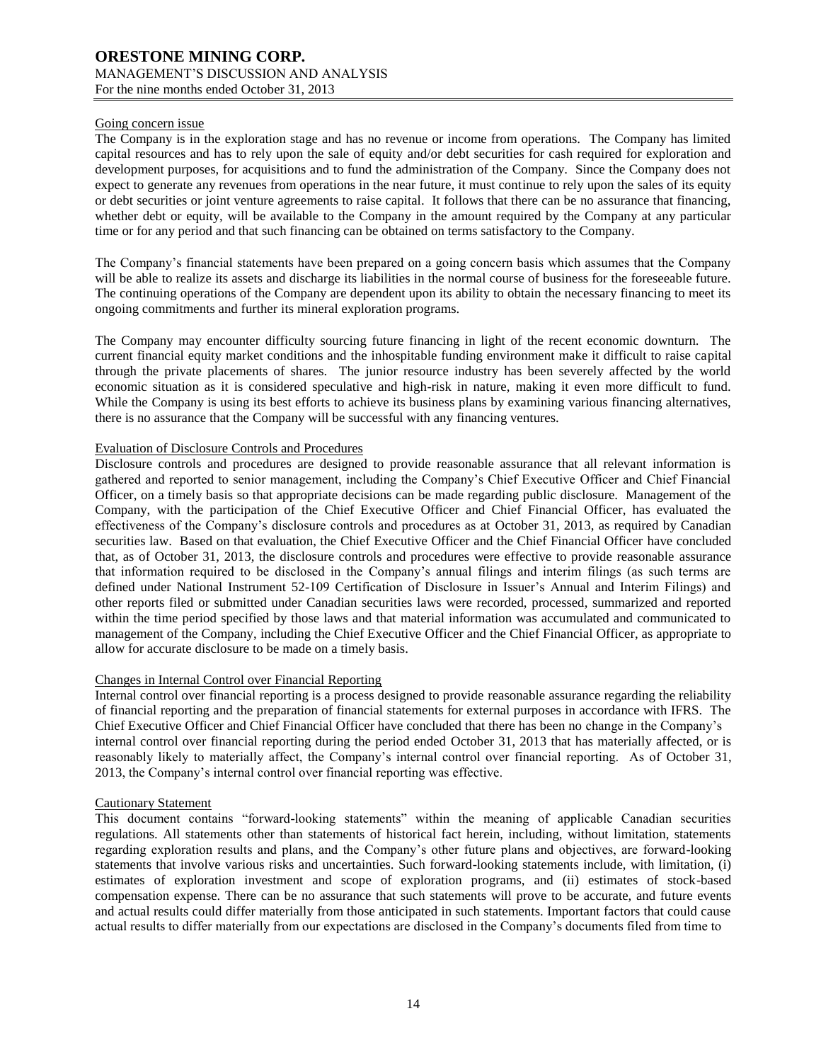### Going concern issue

The Company is in the exploration stage and has no revenue or income from operations. The Company has limited capital resources and has to rely upon the sale of equity and/or debt securities for cash required for exploration and development purposes, for acquisitions and to fund the administration of the Company. Since the Company does not expect to generate any revenues from operations in the near future, it must continue to rely upon the sales of its equity or debt securities or joint venture agreements to raise capital. It follows that there can be no assurance that financing, whether debt or equity, will be available to the Company in the amount required by the Company at any particular time or for any period and that such financing can be obtained on terms satisfactory to the Company.

The Company's financial statements have been prepared on a going concern basis which assumes that the Company will be able to realize its assets and discharge its liabilities in the normal course of business for the foreseeable future. The continuing operations of the Company are dependent upon its ability to obtain the necessary financing to meet its ongoing commitments and further its mineral exploration programs.

The Company may encounter difficulty sourcing future financing in light of the recent economic downturn. The current financial equity market conditions and the inhospitable funding environment make it difficult to raise capital through the private placements of shares. The junior resource industry has been severely affected by the world economic situation as it is considered speculative and high-risk in nature, making it even more difficult to fund. While the Company is using its best efforts to achieve its business plans by examining various financing alternatives, there is no assurance that the Company will be successful with any financing ventures.

### Evaluation of Disclosure Controls and Procedures

Disclosure controls and procedures are designed to provide reasonable assurance that all relevant information is gathered and reported to senior management, including the Company's Chief Executive Officer and Chief Financial Officer, on a timely basis so that appropriate decisions can be made regarding public disclosure. Management of the Company, with the participation of the Chief Executive Officer and Chief Financial Officer, has evaluated the effectiveness of the Company's disclosure controls and procedures as at October 31, 2013, as required by Canadian securities law. Based on that evaluation, the Chief Executive Officer and the Chief Financial Officer have concluded that, as of October 31, 2013, the disclosure controls and procedures were effective to provide reasonable assurance that information required to be disclosed in the Company's annual filings and interim filings (as such terms are defined under National Instrument 52-109 Certification of Disclosure in Issuer's Annual and Interim Filings) and other reports filed or submitted under Canadian securities laws were recorded, processed, summarized and reported within the time period specified by those laws and that material information was accumulated and communicated to management of the Company, including the Chief Executive Officer and the Chief Financial Officer, as appropriate to allow for accurate disclosure to be made on a timely basis.

#### Changes in Internal Control over Financial Reporting

Internal control over financial reporting is a process designed to provide reasonable assurance regarding the reliability of financial reporting and the preparation of financial statements for external purposes in accordance with IFRS. The Chief Executive Officer and Chief Financial Officer have concluded that there has been no change in the Company's internal control over financial reporting during the period ended October 31, 2013 that has materially affected, or is reasonably likely to materially affect, the Company's internal control over financial reporting. As of October 31, 2013, the Company's internal control over financial reporting was effective.

#### Cautionary Statement

This document contains "forward-looking statements" within the meaning of applicable Canadian securities regulations. All statements other than statements of historical fact herein, including, without limitation, statements regarding exploration results and plans, and the Company's other future plans and objectives, are forward-looking statements that involve various risks and uncertainties. Such forward-looking statements include, with limitation, (i) estimates of exploration investment and scope of exploration programs, and (ii) estimates of stock-based compensation expense. There can be no assurance that such statements will prove to be accurate, and future events and actual results could differ materially from those anticipated in such statements. Important factors that could cause actual results to differ materially from our expectations are disclosed in the Company's documents filed from time to